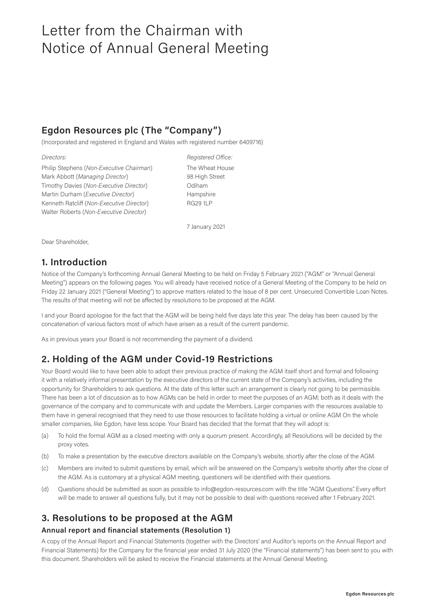## **Egdon Resources plc (The "Company")**

(Incorporated and registered in England and Wales with registered number 6409716)

*Directors: Registered Office:* Philip Stephens (*Non-Executive Chairman*) The Wheat House Mark Abbott (*Managing Director*) 98 High Street Timothy Davies (*Non-Executive Director*) Odiham Martin Durham (*Executive Director*) Hampshire Kenneth Ratcliff (*Non-Executive Director*) RG29 1LP Walter Roberts (*Non-Executive Director*)

7 January 2021

Dear Shareholder,

### **1. Introduction**

Notice of the Company's forthcoming Annual General Meeting to be held on Friday 5 February 2021 ("AGM" or "Annual General Meeting") appears on the following pages. You will already have received notice of a General Meeting of the Company to be held on Friday 22 January 2021 ("General Meeting") to approve matters related to the Issue of 8 per cent. Unsecured Convertible Loan Notes. The results of that meeting will not be affected by resolutions to be proposed at the AGM.

I and your Board apologise for the fact that the AGM will be being held five days late this year. The delay has been caused by the concatenation of various factors most of which have arisen as a result of the current pandemic.

As in previous years your Board is not recommending the payment of a dividend.

## **2. Holding of the AGM under Covid-19 Restrictions**

Your Board would like to have been able to adopt their previous practice of making the AGM itself short and formal and following it with a relatively informal presentation by the executive directors of the current state of the Company's activities, including the opportunity for Shareholders to ask questions. At the date of this letter such an arrangement is clearly not going to be permissible. There has been a lot of discussion as to how AGMs can be held in order to meet the purposes of an AGM; both as it deals with the governance of the company and to communicate with and update the Members. Larger companies with the resources available to them have in general recognised that they need to use those resources to facilitate holding a virtual or online AGM On the whole smaller companies, like Egdon, have less scope. Your Board has decided that the format that they will adopt is:

- (a) To hold the formal AGM as a closed meeting with only a quorum present. Accordingly, all Resolutions will be decided by the proxy votes.
- (b) To make a presentation by the executive directors available on the Company's website, shortly after the close of the AGM.
- (c) Members are invited to submit questions by email, which will be answered on the Company's website shortly after the close of the AGM. As is customary at a physical AGM meeting, questioners will be identified with their questions.
- (d) Questions should be submitted as soon as possible to info@egdon-resources.com with the title "AGM Questions". Every effort will be made to answer all questions fully, but it may not be possible to deal with questions received after 1 February 2021.

### **3. Resolutions to be proposed at the AGM**

#### **Annual report and financial statements (Resolution 1)**

A copy of the Annual Report and Financial Statements (together with the Directors' and Auditor's reports on the Annual Report and Financial Statements) for the Company for the financial year ended 31 July 2020 (the "Financial statements") has been sent to you with this document. Shareholders will be asked to receive the Financial statements at the Annual General Meeting.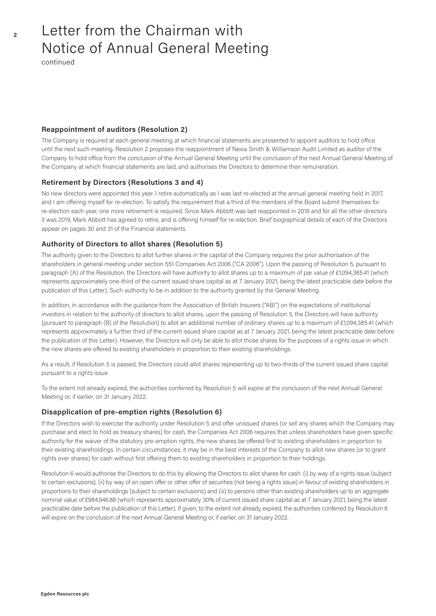continued

#### **Reappointment of auditors (Resolution 2)**

The Company is required at each general meeting at which financial statements are presented to appoint auditors to hold office until the next such meeting. Resolution 2 proposes the reappointment of Nexia Smith & Williamson Audit Limited as auditor of the Company to hold office from the conclusion of the Annual General Meeting until the conclusion of the next Annual General Meeting of the Company at which financial statements are laid, and authorises the Directors to determine their remuneration.

#### **Retirement by Directors (Resolutions 3 and 4)**

No new directors were appointed this year. I retire automatically as I was last re-elected at the annual general meeting held in 2017, and I am offering myself for re-election. To satisfy the requirement that a third of the members of the Board submit themselves for re-election each year, one more retirement is required. Since Mark Abbott was last reappointed in 2018 and for all the other directors it was 2019, Mark Abbott has agreed to retire, and is offering himself for re-election. Brief biographical details of each of the Directors appear on pages 30 and 31 of the Financial statements.

#### **Authority of Directors to allot shares (Resolution 5)**

The authority given to the Directors to allot further shares in the capital of the Company requires the prior authorisation of the shareholders in general meeting under section 551 Companies Act 2006 ("CA 2006"). Upon the passing of Resolution 5, pursuant to paragraph (A) of the Resolution, the Directors will have authority to allot shares up to a maximum of par value of £1,094,385.41 (which represents approximately one-third of the current issued share capital as at 7 January 2021, being the latest practicable date before the publication of this Letter). Such authority to be in addition to the authority granted by the General Meeting.

In addition, in accordance with the guidance from the Association of British Insurers ("ABI") on the expectations of institutional investors in relation to the authority of directors to allot shares, upon the passing of Resolution 5, the Directors will have authority (pursuant to paragraph (B) of the Resolution) to allot an additional number of ordinary shares up to a maximum of £1,094,385.41 (which represents approximately a further third of the current issued share capital as at 7 January 2021, being the latest practicable date before the publication of this Letter). However, the Directors will only be able to allot those shares for the purposes of a rights issue in which the new shares are offered to existing shareholders in proportion to their existing shareholdings.

As a result, if Resolution 5 is passed, the Directors could allot shares representing up to two-thirds of the current issued share capital pursuant to a rights issue.

To the extent not already expired, the authorities conferred by Resolution 5 will expire at the conclusion of the next Annual General Meeting or, if earlier, on 31 January 2022.

#### **Disapplication of pre-emption rights (Resolution 6)**

If the Directors wish to exercise the authority under Resolution 5 and offer unissued shares (or sell any shares which the Company may purchase and elect to hold as treasury shares) for cash, the Companies Act 2006 requires that unless shareholders have given specific authority for the waiver of the statutory pre-emption rights, the new shares be offered first to existing shareholders in proportion to their existing shareholdings. In certain circumstances, it may be in the best interests of the Company to allot new shares (or to grant rights over shares) for cash without first offering them to existing shareholders in proportion to their holdings.

Resolution 6 would authorise the Directors to do this by allowing the Directors to allot shares for cash: (i) by way of a rights issue (subject to certain exclusions), (ii) by way of an open offer or other offer of securities (not being a rights issue) in favour of existing shareholders in proportions to their shareholdings (subject to certain exclusions) and (iii) to persons other than existing shareholders up to an aggregate nominal value of £984,946.88 (which represents approximately 30% of current issued share capital as at 7 January 2021, being the latest practicable date before the publication of this Letter). If given, to the extent not already expired, the authorities conferred by Resolution 6 will expire on the conclusion of the next Annual General Meeting or, if earlier, on 31 January 2022.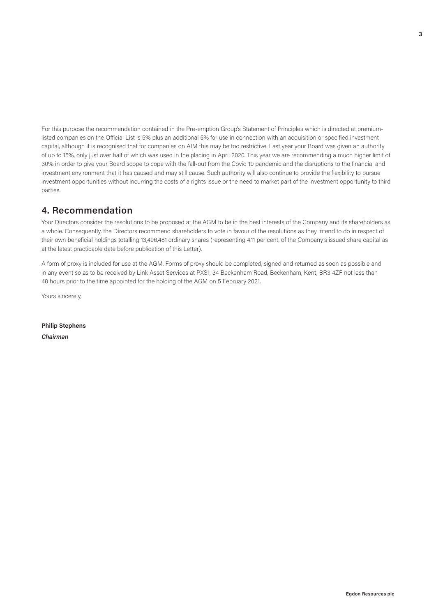For this purpose the recommendation contained in the Pre-emption Group's Statement of Principles which is directed at premiumlisted companies on the Official List is 5% plus an additional 5% for use in connection with an acquisition or specified investment capital, although it is recognised that for companies on AIM this may be too restrictive. Last year your Board was given an authority of up to 15%, only just over half of which was used in the placing in April 2020. This year we are recommending a much higher limit of 30% in order to give your Board scope to cope with the fall-out from the Covid 19 pandemic and the disruptions to the financial and investment environment that it has caused and may still cause. Such authority will also continue to provide the flexibility to pursue investment opportunities without incurring the costs of a rights issue or the need to market part of the investment opportunity to third parties.

## **4. Recommendation**

Your Directors consider the resolutions to be proposed at the AGM to be in the best interests of the Company and its shareholders as a whole. Consequently, the Directors recommend shareholders to vote in favour of the resolutions as they intend to do in respect of their own beneficial holdings totalling 13,496,481 ordinary shares (representing 4.11 per cent. of the Company's issued share capital as at the latest practicable date before publication of this Letter).

A form of proxy is included for use at the AGM. Forms of proxy should be completed, signed and returned as soon as possible and in any event so as to be received by Link Asset Services at PXS1, 34 Beckenham Road, Beckenham, Kent, BR3 4ZF not less than 48 hours prior to the time appointed for the holding of the AGM on 5 February 2021.

Yours sincerely,

**Philip Stephens** *Chairman*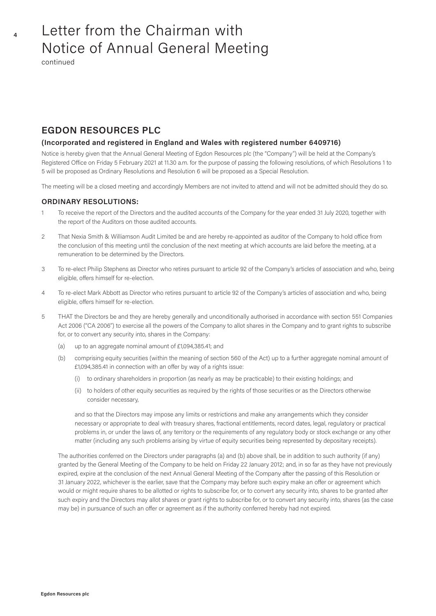continued

### **EGDON RESOURCES PLC**

#### **(Incorporated and registered in England and Wales with registered number 6409716)**

Notice is hereby given that the Annual General Meeting of Egdon Resources plc (the "Company") will be held at the Company's Registered Office on Friday 5 February 2021 at 11.30 a.m. for the purpose of passing the following resolutions, of which Resolutions 1 to 5 will be proposed as Ordinary Resolutions and Resolution 6 will be proposed as a Special Resolution.

The meeting will be a closed meeting and accordingly Members are not invited to attend and will not be admitted should they do so.

#### **ORDINARY RESOLUTIONS:**

- 1 To receive the report of the Directors and the audited accounts of the Company for the year ended 31 July 2020, together with the report of the Auditors on those audited accounts.
- 2 That Nexia Smith & Williamson Audit Limited be and are hereby re-appointed as auditor of the Company to hold office from the conclusion of this meeting until the conclusion of the next meeting at which accounts are laid before the meeting, at a remuneration to be determined by the Directors.
- 3 To re-elect Philip Stephens as Director who retires pursuant to article 92 of the Company's articles of association and who, being eligible, offers himself for re-election.
- 4 To re-elect Mark Abbott as Director who retires pursuant to article 92 of the Company's articles of association and who, being eligible, offers himself for re-election.
- 5 THAT the Directors be and they are hereby generally and unconditionally authorised in accordance with section 551 Companies Act 2006 ("CA 2006") to exercise all the powers of the Company to allot shares in the Company and to grant rights to subscribe for, or to convert any security into, shares in the Company:
	- (a) up to an aggregate nominal amount of £1,094,385.41; and
	- (b) comprising equity securities (within the meaning of section 560 of the Act) up to a further aggregate nominal amount of £1,094,385.41 in connection with an offer by way of a rights issue:
		- (i) to ordinary shareholders in proportion (as nearly as may be practicable) to their existing holdings; and
		- (ii) to holders of other equity securities as required by the rights of those securities or as the Directors otherwise consider necessary,

 and so that the Directors may impose any limits or restrictions and make any arrangements which they consider necessary or appropriate to deal with treasury shares, fractional entitlements, record dates, legal, regulatory or practical problems in, or under the laws of, any territory or the requirements of any regulatory body or stock exchange or any other matter (including any such problems arising by virtue of equity securities being represented by depositary receipts).

 The authorities conferred on the Directors under paragraphs (a) and (b) above shall, be in addition to such authority (if any) granted by the General Meeting of the Company to be held on Friday 22 January 2012; and, in so far as they have not previously expired, expire at the conclusion of the next Annual General Meeting of the Company after the passing of this Resolution or 31 January 2022, whichever is the earlier, save that the Company may before such expiry make an offer or agreement which would or might require shares to be allotted or rights to subscribe for, or to convert any security into, shares to be granted after such expiry and the Directors may allot shares or grant rights to subscribe for, or to convert any security into, shares (as the case may be) in pursuance of such an offer or agreement as if the authority conferred hereby had not expired.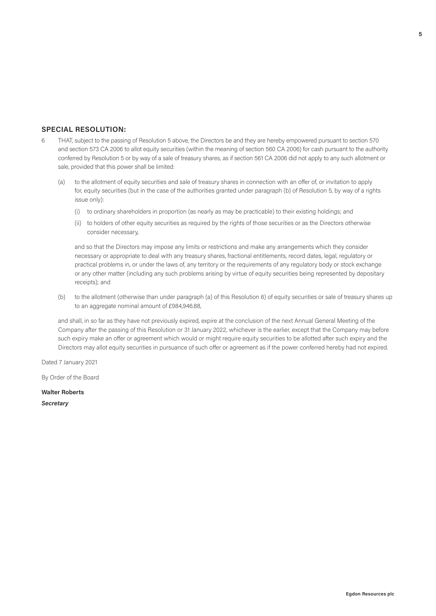#### **SPECIAL RESOLUTION:**

- 6 THAT, subject to the passing of Resolution 5 above, the Directors be and they are hereby empowered pursuant to section 570 and section 573 CA 2006 to allot equity securities (within the meaning of section 560 CA 2006) for cash pursuant to the authority conferred by Resolution 5 or by way of a sale of treasury shares, as if section 561 CA 2006 did not apply to any such allotment or sale, provided that this power shall be limited:
	- (a) to the allotment of equity securities and sale of treasury shares in connection with an offer of, or invitation to apply for, equity securities (but in the case of the authorities granted under paragraph (b) of Resolution 5, by way of a rights issue only):
		- (i) to ordinary shareholders in proportion (as nearly as may be practicable) to their existing holdings; and
		- (ii) to holders of other equity securities as required by the rights of those securities or as the Directors otherwise consider necessary,

 and so that the Directors may impose any limits or restrictions and make any arrangements which they consider necessary or appropriate to deal with any treasury shares, fractional entitlements, record dates, legal, regulatory or practical problems in, or under the laws of, any territory or the requirements of any regulatory body or stock exchange or any other matter (including any such problems arising by virtue of equity securities being represented by depositary receipts); and

(b) to the allotment (otherwise than under paragraph (a) of this Resolution 6) of equity securities or sale of treasury shares up to an aggregate nominal amount of £984,946.88,

 and shall, in so far as they have not previously expired, expire at the conclusion of the next Annual General Meeting of the Company after the passing of this Resolution or 31 January 2022, whichever is the earlier, except that the Company may before such expiry make an offer or agreement which would or might require equity securities to be allotted after such expiry and the Directors may allot equity securities in pursuance of such offer or agreement as if the power conferred hereby had not expired.

Dated 7 January 2021

By Order of the Board

**Walter Roberts**

*Secretary*